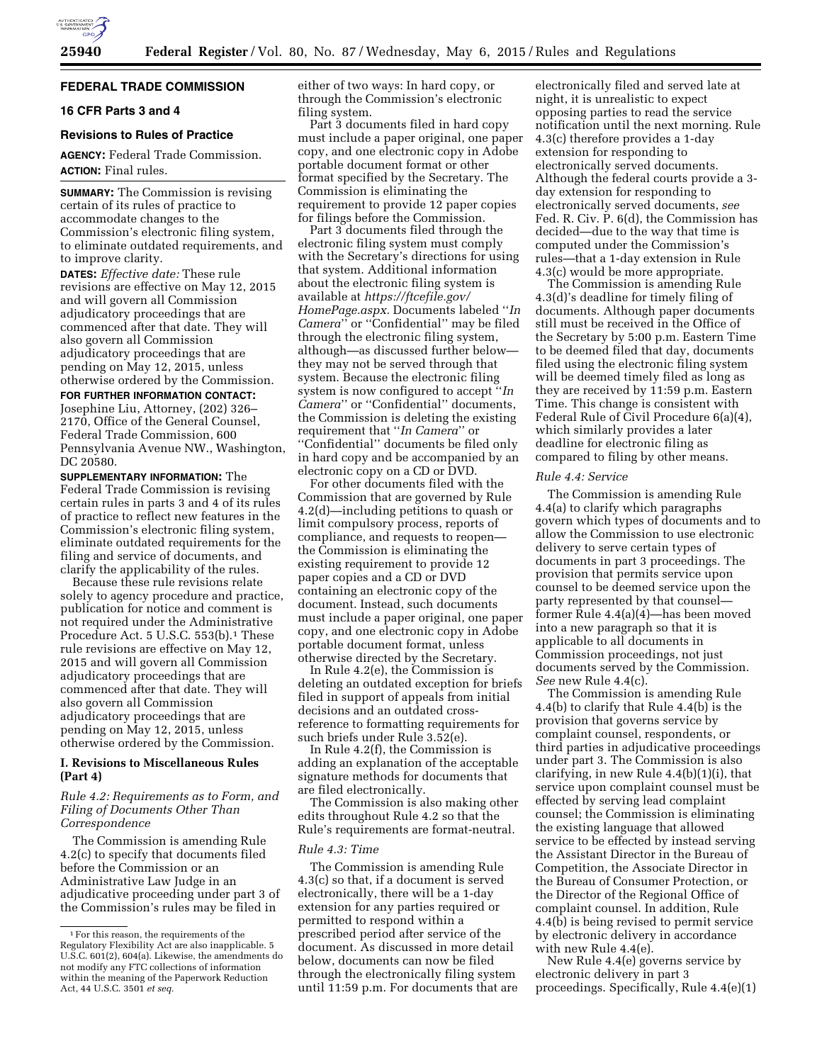

#### **FEDERAL TRADE COMMISSION**

# **16 CFR Parts 3 and 4**

## **Revisions to Rules of Practice**

**AGENCY:** Federal Trade Commission. **ACTION:** Final rules.

**SUMMARY:** The Commission is revising certain of its rules of practice to accommodate changes to the Commission's electronic filing system, to eliminate outdated requirements, and to improve clarity.

**DATES:** *Effective date:* These rule revisions are effective on May 12, 2015 and will govern all Commission adjudicatory proceedings that are commenced after that date. They will also govern all Commission adjudicatory proceedings that are pending on May 12, 2015, unless otherwise ordered by the Commission.

**FOR FURTHER INFORMATION CONTACT:**  Josephine Liu, Attorney, (202) 326– 2170, Office of the General Counsel, Federal Trade Commission, 600 Pennsylvania Avenue NW., Washington, DC 20580.

**SUPPLEMENTARY INFORMATION:** The Federal Trade Commission is revising certain rules in parts 3 and 4 of its rules of practice to reflect new features in the Commission's electronic filing system, eliminate outdated requirements for the filing and service of documents, and clarify the applicability of the rules.

Because these rule revisions relate solely to agency procedure and practice, publication for notice and comment is not required under the Administrative Procedure Act. 5 U.S.C. 553(b).<sup>1</sup> These rule revisions are effective on May 12, 2015 and will govern all Commission adjudicatory proceedings that are commenced after that date. They will also govern all Commission adjudicatory proceedings that are pending on May 12, 2015, unless otherwise ordered by the Commission.

# **I. Revisions to Miscellaneous Rules (Part 4)**

*Rule 4.2: Requirements as to Form, and Filing of Documents Other Than Correspondence* 

The Commission is amending Rule 4.2(c) to specify that documents filed before the Commission or an Administrative Law Judge in an adjudicative proceeding under part 3 of the Commission's rules may be filed in

either of two ways: In hard copy, or through the Commission's electronic filing system.

Part 3 documents filed in hard copy must include a paper original, one paper copy, and one electronic copy in Adobe portable document format or other format specified by the Secretary. The Commission is eliminating the requirement to provide 12 paper copies for filings before the Commission.

Part 3 documents filed through the electronic filing system must comply with the Secretary's directions for using that system. Additional information about the electronic filing system is available at *[https://ftcefile.gov/](https://ftcefile.gov/HomePage.aspx) [HomePage.aspx.](https://ftcefile.gov/HomePage.aspx)* Documents labeled ''*In Camera*'' or ''Confidential'' may be filed through the electronic filing system, although—as discussed further below they may not be served through that system. Because the electronic filing system is now configured to accept ''*In Camera*'' or ''Confidential'' documents, the Commission is deleting the existing requirement that ''*In Camera*'' or ''Confidential'' documents be filed only in hard copy and be accompanied by an electronic copy on a CD or DVD.

For other documents filed with the Commission that are governed by Rule 4.2(d)—including petitions to quash or limit compulsory process, reports of compliance, and requests to reopen the Commission is eliminating the existing requirement to provide 12 paper copies and a CD or DVD containing an electronic copy of the document. Instead, such documents must include a paper original, one paper copy, and one electronic copy in Adobe portable document format, unless otherwise directed by the Secretary.

In Rule 4.2(e), the Commission is deleting an outdated exception for briefs filed in support of appeals from initial decisions and an outdated crossreference to formatting requirements for such briefs under Rule 3.52(e).

In Rule 4.2(f), the Commission is adding an explanation of the acceptable signature methods for documents that are filed electronically.

The Commission is also making other edits throughout Rule 4.2 so that the Rule's requirements are format-neutral.

## *Rule 4.3: Time*

The Commission is amending Rule 4.3(c) so that, if a document is served electronically, there will be a 1-day extension for any parties required or permitted to respond within a prescribed period after service of the document. As discussed in more detail below, documents can now be filed through the electronically filing system until 11:59 p.m. For documents that are

electronically filed and served late at night, it is unrealistic to expect opposing parties to read the service notification until the next morning. Rule 4.3(c) therefore provides a 1-day extension for responding to electronically served documents. Although the federal courts provide a 3 day extension for responding to electronically served documents, *see*  Fed. R. Civ. P. 6(d), the Commission has decided—due to the way that time is computed under the Commission's rules—that a 1-day extension in Rule 4.3(c) would be more appropriate.

The Commission is amending Rule 4.3(d)'s deadline for timely filing of documents. Although paper documents still must be received in the Office of the Secretary by 5:00 p.m. Eastern Time to be deemed filed that day, documents filed using the electronic filing system will be deemed timely filed as long as they are received by 11:59 p.m. Eastern Time. This change is consistent with Federal Rule of Civil Procedure 6(a)(4), which similarly provides a later deadline for electronic filing as compared to filing by other means.

## *Rule 4.4: Service*

The Commission is amending Rule 4.4(a) to clarify which paragraphs govern which types of documents and to allow the Commission to use electronic delivery to serve certain types of documents in part 3 proceedings. The provision that permits service upon counsel to be deemed service upon the party represented by that counsel former  $\bar{R}$ ule 4.4(a)(4)—has been moved into a new paragraph so that it is applicable to all documents in Commission proceedings, not just documents served by the Commission. *See* new Rule 4.4(c).

The Commission is amending Rule 4.4(b) to clarify that Rule 4.4(b) is the provision that governs service by complaint counsel, respondents, or third parties in adjudicative proceedings under part 3. The Commission is also clarifying, in new Rule 4.4(b)(1)(i), that service upon complaint counsel must be effected by serving lead complaint counsel; the Commission is eliminating the existing language that allowed service to be effected by instead serving the Assistant Director in the Bureau of Competition, the Associate Director in the Bureau of Consumer Protection, or the Director of the Regional Office of complaint counsel. In addition, Rule 4.4(b) is being revised to permit service by electronic delivery in accordance with new Rule 4.4(e).

New Rule 4.4(e) governs service by electronic delivery in part 3 proceedings. Specifically, Rule 4.4(e)(1)

<sup>1</sup>For this reason, the requirements of the Regulatory Flexibility Act are also inapplicable. 5 U.S.C. 601(2), 604(a). Likewise, the amendments do not modify any FTC collections of information within the meaning of the Paperwork Reduction Act, 44 U.S.C. 3501 *et seq.*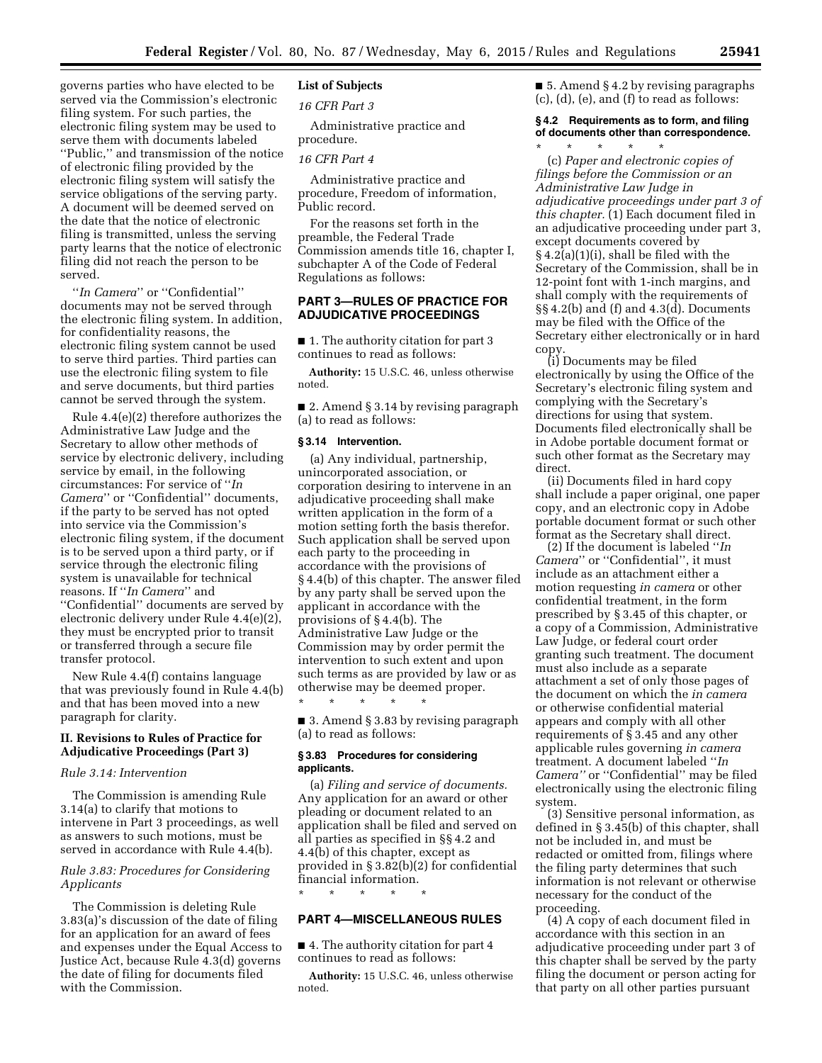governs parties who have elected to be served via the Commission's electronic filing system. For such parties, the electronic filing system may be used to serve them with documents labeled ''Public,'' and transmission of the notice of electronic filing provided by the electronic filing system will satisfy the service obligations of the serving party. A document will be deemed served on the date that the notice of electronic filing is transmitted, unless the serving party learns that the notice of electronic filing did not reach the person to be served.

''*In Camera*'' or ''Confidential'' documents may not be served through the electronic filing system. In addition, for confidentiality reasons, the electronic filing system cannot be used to serve third parties. Third parties can use the electronic filing system to file and serve documents, but third parties cannot be served through the system.

Rule 4.4(e)(2) therefore authorizes the Administrative Law Judge and the Secretary to allow other methods of service by electronic delivery, including service by email, in the following circumstances: For service of ''*In Camera*'' or ''Confidential'' documents, if the party to be served has not opted into service via the Commission's electronic filing system, if the document is to be served upon a third party, or if service through the electronic filing system is unavailable for technical reasons. If ''*In Camera*'' and ''Confidential'' documents are served by electronic delivery under Rule 4.4(e)(2), they must be encrypted prior to transit or transferred through a secure file transfer protocol.

New Rule 4.4(f) contains language that was previously found in Rule 4.4(b) and that has been moved into a new paragraph for clarity.

## **II. Revisions to Rules of Practice for Adjudicative Proceedings (Part 3)**

#### *Rule 3.14: Intervention*

The Commission is amending Rule 3.14(a) to clarify that motions to intervene in Part 3 proceedings, as well as answers to such motions, must be served in accordance with Rule 4.4(b).

## *Rule 3.83: Procedures for Considering Applicants*

The Commission is deleting Rule 3.83(a)'s discussion of the date of filing for an application for an award of fees and expenses under the Equal Access to Justice Act, because Rule 4.3(d) governs the date of filing for documents filed with the Commission.

## **List of Subjects**

*16 CFR Part 3* 

Administrative practice and procedure.

## *16 CFR Part 4*

Administrative practice and procedure, Freedom of information, Public record.

For the reasons set forth in the preamble, the Federal Trade Commission amends title 16, chapter I, subchapter A of the Code of Federal Regulations as follows:

# **PART 3—RULES OF PRACTICE FOR ADJUDICATIVE PROCEEDINGS**

■ 1. The authority citation for part 3 continues to read as follows:

**Authority:** 15 U.S.C. 46, unless otherwise noted.

■ 2. Amend § 3.14 by revising paragraph (a) to read as follows:

#### **§ 3.14 Intervention.**

(a) Any individual, partnership, unincorporated association, or corporation desiring to intervene in an adjudicative proceeding shall make written application in the form of a motion setting forth the basis therefor. Such application shall be served upon each party to the proceeding in accordance with the provisions of § 4.4(b) of this chapter. The answer filed by any party shall be served upon the applicant in accordance with the provisions of § 4.4(b). The Administrative Law Judge or the Commission may by order permit the intervention to such extent and upon such terms as are provided by law or as otherwise may be deemed proper.

■ 3. Amend § 3.83 by revising paragraph (a) to read as follows:

#### **§ 3.83 Procedures for considering applicants.**

\* \* \* \* \*

(a) *Filing and service of documents.*  Any application for an award or other pleading or document related to an application shall be filed and served on all parties as specified in §§ 4.2 and 4.4(b) of this chapter, except as provided in § 3.82(b)(2) for confidential financial information.

#### \* \* \* \* \*

## **PART 4—MISCELLANEOUS RULES**

■ 4. The authority citation for part 4 continues to read as follows:

**Authority:** 15 U.S.C. 46, unless otherwise noted.

■ 5. Amend § 4.2 by revising paragraphs (c), (d), (e), and (f) to read as follows:

#### **§ 4.2 Requirements as to form, and filing of documents other than correspondence.**  \* \* \* \* \*

(c) *Paper and electronic copies of filings before the Commission or an Administrative Law Judge in adjudicative proceedings under part 3 of this chapter.* (1) Each document filed in an adjudicative proceeding under part 3, except documents covered by § 4.2(a)(1)(i), shall be filed with the Secretary of the Commission, shall be in 12-point font with 1-inch margins, and shall comply with the requirements of §§ 4.2(b) and (f) and 4.3(d). Documents may be filed with the Office of the Secretary either electronically or in hard copy.

(i) Documents may be filed electronically by using the Office of the Secretary's electronic filing system and complying with the Secretary's directions for using that system. Documents filed electronically shall be in Adobe portable document format or such other format as the Secretary may direct.

(ii) Documents filed in hard copy shall include a paper original, one paper copy, and an electronic copy in Adobe portable document format or such other format as the Secretary shall direct.

(2) If the document is labeled ''*In Camera*'' or ''Confidential'', it must include as an attachment either a motion requesting *in camera* or other confidential treatment, in the form prescribed by § 3.45 of this chapter, or a copy of a Commission, Administrative Law Judge, or federal court order granting such treatment. The document must also include as a separate attachment a set of only those pages of the document on which the *in camera*  or otherwise confidential material appears and comply with all other requirements of § 3.45 and any other applicable rules governing *in camera*  treatment. A document labeled ''*In Camera''* or ''Confidential'' may be filed electronically using the electronic filing system.

(3) Sensitive personal information, as defined in § 3.45(b) of this chapter, shall not be included in, and must be redacted or omitted from, filings where the filing party determines that such information is not relevant or otherwise necessary for the conduct of the proceeding.

(4) A copy of each document filed in accordance with this section in an adjudicative proceeding under part 3 of this chapter shall be served by the party filing the document or person acting for that party on all other parties pursuant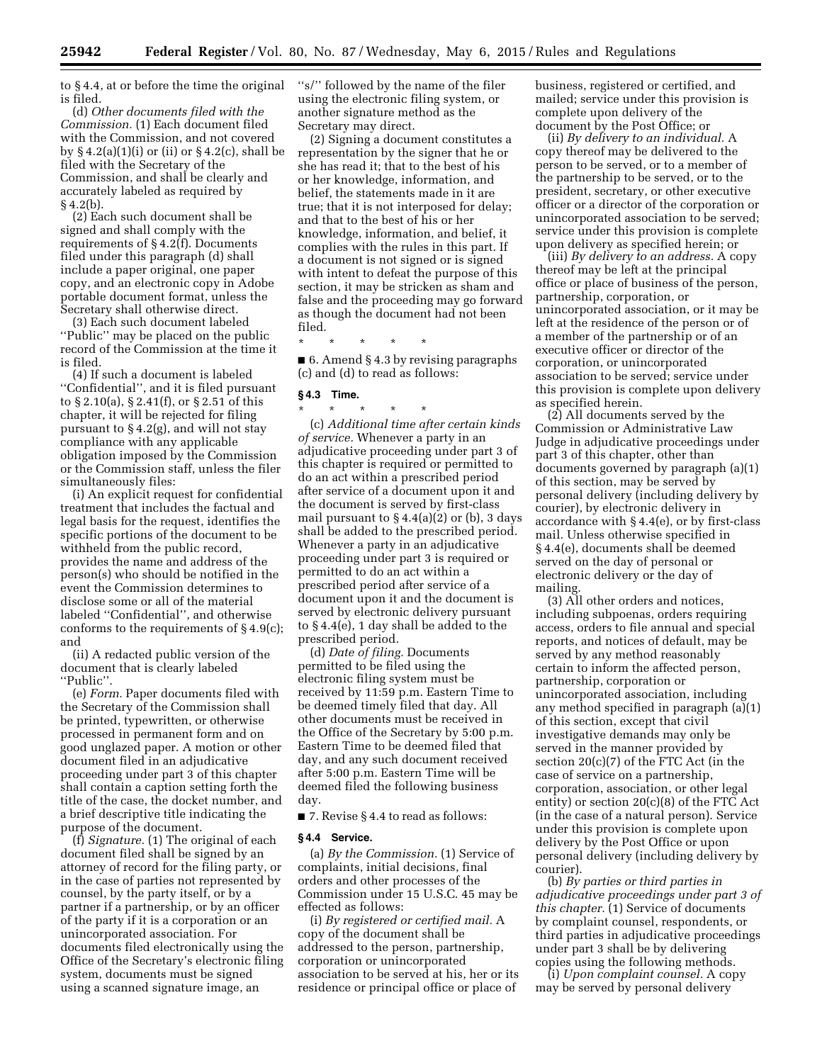to § 4.4, at or before the time the original is filed.

(d) *Other documents filed with the Commission.* (1) Each document filed with the Commission, and not covered by  $\S 4.2(a)(1)(i)$  or (ii) or  $\S 4.2(c)$ , shall be filed with the Secretary of the Commission, and shall be clearly and accurately labeled as required by  $§ 4.2(b).$ 

(2) Each such document shall be signed and shall comply with the requirements of § 4.2(f). Documents filed under this paragraph (d) shall include a paper original, one paper copy, and an electronic copy in Adobe portable document format, unless the Secretary shall otherwise direct.

(3) Each such document labeled ''Public'' may be placed on the public record of the Commission at the time it is filed.

(4) If such a document is labeled ''Confidential'', and it is filed pursuant to § 2.10(a), § 2.41(f), or § 2.51 of this chapter, it will be rejected for filing pursuant to § 4.2(g), and will not stay compliance with any applicable obligation imposed by the Commission or the Commission staff, unless the filer simultaneously files:

(i) An explicit request for confidential treatment that includes the factual and legal basis for the request, identifies the specific portions of the document to be withheld from the public record, provides the name and address of the person(s) who should be notified in the event the Commission determines to disclose some or all of the material labeled ''Confidential'', and otherwise conforms to the requirements of § 4.9(c); and

(ii) A redacted public version of the document that is clearly labeled ''Public''.

(e) *Form.* Paper documents filed with the Secretary of the Commission shall be printed, typewritten, or otherwise processed in permanent form and on good unglazed paper. A motion or other document filed in an adjudicative proceeding under part 3 of this chapter shall contain a caption setting forth the title of the case, the docket number, and a brief descriptive title indicating the purpose of the document.

(f) *Signature.* (1) The original of each document filed shall be signed by an attorney of record for the filing party, or in the case of parties not represented by counsel, by the party itself, or by a partner if a partnership, or by an officer of the party if it is a corporation or an unincorporated association. For documents filed electronically using the Office of the Secretary's electronic filing system, documents must be signed using a scanned signature image, an

''s/'' followed by the name of the filer using the electronic filing system, or another signature method as the Secretary may direct.

(2) Signing a document constitutes a representation by the signer that he or she has read it; that to the best of his or her knowledge, information, and belief, the statements made in it are true; that it is not interposed for delay; and that to the best of his or her knowledge, information, and belief, it complies with the rules in this part. If a document is not signed or is signed with intent to defeat the purpose of this section, it may be stricken as sham and false and the proceeding may go forward as though the document had not been filed.

\* \* \* \* \*

■ 6. Amend § 4.3 by revising paragraphs (c) and (d) to read as follows:

#### **§ 4.3 Time.**

\* \* \* \* \* (c) *Additional time after certain kinds of service.* Whenever a party in an adjudicative proceeding under part 3 of this chapter is required or permitted to do an act within a prescribed period after service of a document upon it and the document is served by first-class mail pursuant to § 4.4(a)(2) or (b), 3 days shall be added to the prescribed period. Whenever a party in an adjudicative proceeding under part 3 is required or permitted to do an act within a prescribed period after service of a document upon it and the document is served by electronic delivery pursuant to § 4.4(e), 1 day shall be added to the prescribed period.

(d) *Date of filing.* Documents permitted to be filed using the electronic filing system must be received by 11:59 p.m. Eastern Time to be deemed timely filed that day. All other documents must be received in the Office of the Secretary by 5:00 p.m. Eastern Time to be deemed filed that day, and any such document received after 5:00 p.m. Eastern Time will be deemed filed the following business day.

■ 7. Revise § 4.4 to read as follows:

#### **§ 4.4 Service.**

(a) *By the Commission.* (1) Service of complaints, initial decisions, final orders and other processes of the Commission under 15 U.S.C. 45 may be effected as follows:

(i) *By registered or certified mail.* A copy of the document shall be addressed to the person, partnership, corporation or unincorporated association to be served at his, her or its residence or principal office or place of

business, registered or certified, and mailed; service under this provision is complete upon delivery of the document by the Post Office; or

(ii) *By delivery to an individual.* A copy thereof may be delivered to the person to be served, or to a member of the partnership to be served, or to the president, secretary, or other executive officer or a director of the corporation or unincorporated association to be served; service under this provision is complete upon delivery as specified herein; or

(iii) *By delivery to an address.* A copy thereof may be left at the principal office or place of business of the person, partnership, corporation, or unincorporated association, or it may be left at the residence of the person or of a member of the partnership or of an executive officer or director of the corporation, or unincorporated association to be served; service under this provision is complete upon delivery as specified herein.

(2) All documents served by the Commission or Administrative Law Judge in adjudicative proceedings under part 3 of this chapter, other than documents governed by paragraph (a)(1) of this section, may be served by personal delivery (including delivery by courier), by electronic delivery in accordance with  $\S 4.4(e)$ , or by first-class mail. Unless otherwise specified in § 4.4(e), documents shall be deemed served on the day of personal or electronic delivery or the day of mailing.

(3) All other orders and notices, including subpoenas, orders requiring access, orders to file annual and special reports, and notices of default, may be served by any method reasonably certain to inform the affected person, partnership, corporation or unincorporated association, including any method specified in paragraph (a)(1) of this section, except that civil investigative demands may only be served in the manner provided by section 20(c)(7) of the FTC Act (in the case of service on a partnership, corporation, association, or other legal entity) or section 20(c)(8) of the FTC Act (in the case of a natural person). Service under this provision is complete upon delivery by the Post Office or upon personal delivery (including delivery by courier).

(b) *By parties or third parties in adjudicative proceedings under part 3 of this chapter.* (1) Service of documents by complaint counsel, respondents, or third parties in adjudicative proceedings under part 3 shall be by delivering copies using the following methods.

(i) *Upon complaint counsel.* A copy may be served by personal delivery